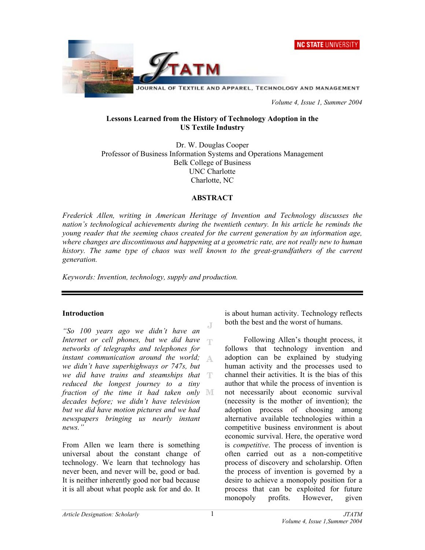



 *Volume 4, Issue 1, Summer 2004* 

#### **Lessons Learned from the History of Technology Adoption in the US Textile Industry**

Dr. W. Douglas Cooper Professor of Business Information Systems and Operations Management Belk College of Business UNC Charlotte Charlotte, NC

#### **ABSTRACT**

*Frederick Allen, writing in American Heritage of Invention and Technology discusses the nation's technological achievements during the twentieth century. In his article he reminds the young reader that the seeming chaos created for the current generation by an information age, where changes are discontinuous and happening at a geometric rate, are not really new to human*  history. The same type of chaos was well known to the great-grandfathers of the current *generation.* 

*Keywords: Invention, technology, supply and production.* 

## **Introduction**

Æ *"So 100 years ago we didn't have an Internet or cell phones, but we did have networks of telegraphs and telephones for instant communication around the world;*  A. *we didn't have superhighways or 747s, but we did have trains and steamships that reduced the longest journey to a tiny fraction of the time it had taken only decades before; we didn't have television but we did have motion pictures and we had newspapers bringing us nearly instant news."* 

From Allen we learn there is something universal about the constant change of technology. We learn that technology has never been, and never will be, good or bad. It is neither inherently good nor bad because it is all about what people ask for and do. It is about human activity. Technology reflects both the best and the worst of humans.

Following Allen's thought process, it follows that technology invention and adoption can be explained by studying human activity and the processes used to channel their activities. It is the bias of this author that while the process of invention is not necessarily about economic survival (necessity is the mother of invention); the adoption process of choosing among alternative available technologies within a competitive business environment is about economic survival. Here, the operative word is *competitive*. The process of invention is often carried out as a non-competitive process of discovery and scholarship. Often the process of invention is governed by a desire to achieve a monopoly position for a process that can be exploited for future monopoly profits. However, given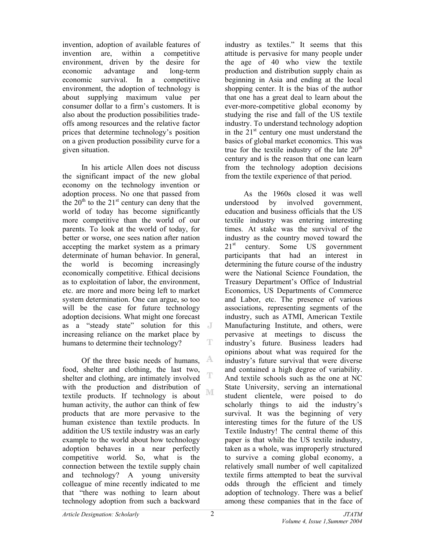invention, adoption of available features of invention are, within a competitive environment, driven by the desire for economic advantage and long-term economic survival. In a competitive environment, the adoption of technology is about supplying maximum value per consumer dollar to a firm's customers. It is also about the production possibilities tradeoffs among resources and the relative factor prices that determine technology's position on a given production possibility curve for a given situation.

In his article Allen does not discuss the significant impact of the new global economy on the technology invention or adoption process. No one that passed from the  $20<sup>th</sup>$  to the  $21<sup>st</sup>$  century can deny that the world of today has become significantly more competitive than the world of our parents. To look at the world of today, for better or worse, one sees nation after nation accepting the market system as a primary determinate of human behavior. In general, the world is becoming increasingly economically competitive. Ethical decisions as to exploitation of labor, the environment, etc. are more and more being left to market system determination. One can argue, so too will be the case for future technology adoption decisions. What might one forecast as a "steady state" solution for this increasing reliance on the market place by T humans to determine their technology?

Of the three basic needs of humans, A food, shelter and clothing, the last two, T shelter and clothing, are intimately involved with the production and distribution of M textile products. If technology is about human activity, the author can think of few products that are more pervasive to the human existence than textile products. In addition the US textile industry was an early example to the world about how technology adoption behaves in a near perfectly competitive world. So, what is the connection between the textile supply chain and technology? A young university colleague of mine recently indicated to me that "there was nothing to learn about technology adoption from such a backward

industry as textiles." It seems that this attitude is pervasive for many people under the age of 40 who view the textile production and distribution supply chain as beginning in Asia and ending at the local shopping center. It is the bias of the author that one has a great deal to learn about the ever-more-competitive global economy by studying the rise and fall of the US textile industry. To understand technology adoption in the  $21<sup>st</sup>$  century one must understand the basics of global market economics. This was true for the textile industry of the late  $20<sup>th</sup>$ century and is the reason that one can learn from the technology adoption decisions from the textile experience of that period.

As the 1960s closed it was well understood by involved government, education and business officials that the US textile industry was entering interesting times. At stake was the survival of the industry as the country moved toward the 21<sup>st</sup> century. Some US government participants that had an interest in determining the future course of the industry were the National Science Foundation, the Treasury Department's Office of Industrial Economics, US Departments of Commerce and Labor, etc. The presence of various associations, representing segments of the industry, such as ATMI, American Textile Manufacturing Institute, and others, were pervasive at meetings to discuss the industry's future. Business leaders had opinions about what was required for the industry's future survival that were diverse and contained a high degree of variability. And textile schools such as the one at NC State University, serving an international student clientele, were poised to do scholarly things to aid the industry's survival. It was the beginning of very interesting times for the future of the US Textile Industry! The central theme of this paper is that while the US textile industry, taken as a whole, was improperly structured to survive a coming global economy, a relatively small number of well capitalized textile firms attempted to beat the survival odds through the efficient and timely adoption of technology. There was a belief among these companies that in the face of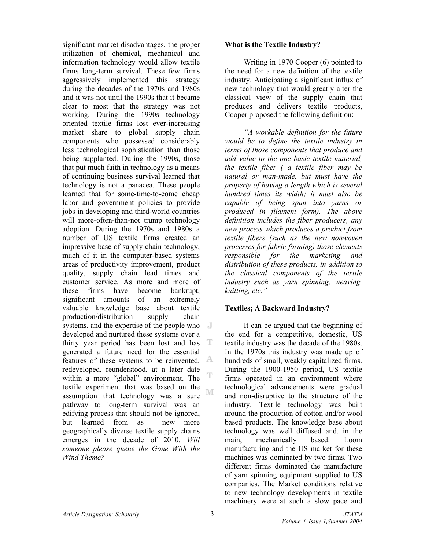significant market disadvantages, the proper utilization of chemical, mechanical and information technology would allow textile firms long-term survival. These few firms aggressively implemented this strategy during the decades of the 1970s and 1980s and it was not until the 1990s that it became clear to most that the strategy was not working. During the 1990s technology oriented textile firms lost ever-increasing market share to global supply chain components who possessed considerably less technological sophistication than those being supplanted. During the 1990s, those that put much faith in technology as a means of continuing business survival learned that technology is not a panacea. These people learned that for some-time-to-come cheap labor and government policies to provide jobs in developing and third-world countries will more-often-than-not trump technology adoption. During the 1970s and 1980s a number of US textile firms created an impressive base of supply chain technology, much of it in the computer-based systems areas of productivity improvement, product quality, supply chain lead times and customer service. As more and more of these firms have become bankrupt, significant amounts of an extremely valuable knowledge base about textile production/distribution supply chain systems, and the expertise of the people who developed and nurtured these systems over a thirty year period has been lost and has T generated a future need for the essential features of these systems to be reinvented, A redeveloped, reunderstood, at a later date T within a more "global" environment. The textile experiment that was based on the ΝE assumption that technology was a sure pathway to long-term survival was an edifying process that should not be ignored, but learned from as new more geographically diverse textile supply chains emerges in the decade of 2010. *Will someone please queue the Gone With the Wind Theme?*

### **What is the Textile Industry?**

Writing in 1970 Cooper (6) pointed to the need for a new definition of the textile industry. Anticipating a significant influx of new technology that would greatly alter the classical view of the supply chain that produces and delivers textile products, Cooper proposed the following definition:

*"A workable definition for the future would be to define the textile industry in terms of those components that produce and add value to the one basic textile material, the textile fiber ( a textile fiber may be natural or man-made, but must have the property of having a length which is several hundred times its width; it must also be capable of being spun into yarns or produced in filament form). The above definition includes the fiber producers, any new process which produces a product from textile fibers (such as the new nonwoven processes for fabric forming) those elements responsible for the marketing and distribution of these products, in addition to the classical components of the textile industry such as yarn spinning, weaving, knitting, etc."* 

## **Textiles; A Backward Industry?**

It can be argued that the beginning of the end for a competitive, domestic, US textile industry was the decade of the 1980s. In the 1970s this industry was made up of hundreds of small, weakly capitalized firms. During the 1900-1950 period, US textile firms operated in an environment where technological advancements were gradual and non-disruptive to the structure of the industry. Textile technology was built around the production of cotton and/or wool based products. The knowledge base about technology was well diffused and, in the main, mechanically based. Loom manufacturing and the US market for these machines was dominated by two firms. Two different firms dominated the manufacture of yarn spinning equipment supplied to US companies. The Market conditions relative to new technology developments in textile machinery were at such a slow pace and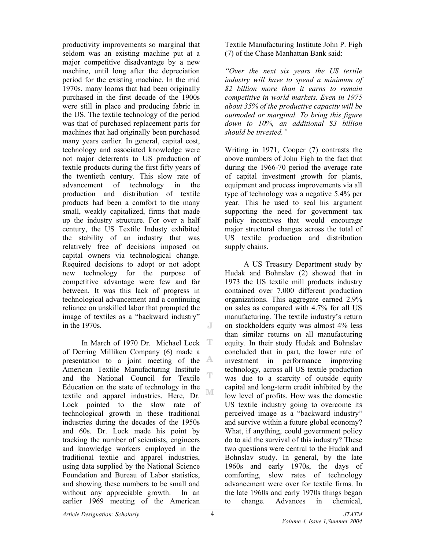productivity improvements so marginal that seldom was an existing machine put at a major competitive disadvantage by a new machine, until long after the depreciation period for the existing machine. In the mid 1970s, many looms that had been originally purchased in the first decade of the 1900s were still in place and producing fabric in the US. The textile technology of the period was that of purchased replacement parts for machines that had originally been purchased many years earlier. In general, capital cost, technology and associated knowledge were not major deterrents to US production of textile products during the first fifty years of the twentieth century. This slow rate of advancement of technology in the production and distribution of textile products had been a comfort to the many small, weakly capitalized, firms that made up the industry structure. For over a half century, the US Textile Industy exhibited the stability of an industry that was relatively free of decisions imposed on capital owners via technological change. Required decisions to adopt or not adopt new technology for the purpose of competitive advantage were few and far between. It was this lack of progress in technological advancement and a continuing reliance on unskilled labor that prompted the image of textiles as a "backward industry" in the 1970s. J

-T In March of 1970 Dr. Michael Lock of Derring Milliken Company (6) made a presentation to a joint meeting of the  $A$ American Textile Manufacturing Institute and the National Council for Textile Education on the state of technology in the NΓ textile and apparel industries. Here, Dr. Lock pointed to the slow rate of technological growth in these traditional industries during the decades of the 1950s and 60s. Dr. Lock made his point by tracking the number of scientists, engineers and knowledge workers employed in the traditional textile and apparel industries, using data supplied by the National Science Foundation and Bureau of Labor statistics, and showing these numbers to be small and without any appreciable growth. In an earlier 1969 meeting of the American

Textile Manufacturing Institute John P. Figh (7) of the Chase Manhattan Bank said:

*"Over the next six years the US textile industry will have to spend a minimum of \$2 billion more than it earns to remain competitive in world markets. Even in 1975 about 35% of the productive capacity will be outmoded or marginal. To bring this figure down to 10%, an additional \$3 billion should be invested."*

Writing in 1971, Cooper (7) contrasts the above numbers of John Figh to the fact that during the 1966-70 period the average rate of capital investment growth for plants, equipment and process improvements via all type of technology was a negative 5.4% per year. This he used to seal his argument supporting the need for government tax policy incentives that would encourage major structural changes across the total of US textile production and distribution supply chains.

A US Treasury Department study by Hudak and Bohnslav (2) showed that in 1973 the US textile mill products industry contained over 7,000 different production organizations. This aggregate earned 2.9% on sales as compared with 4.7% for all US manufacturing. The textile industry's return on stockholders equity was almost 4% less than similar returns on all manufacturing equity. In their study Hudak and Bohnslav concluded that in part, the lower rate of investment in performance improving technology, across all US textile production was due to a scarcity of outside equity capital and long-term credit inhibited by the low level of profits. How was the domestic US textile industry going to overcome its perceived image as a "backward industry" and survive within a future global economy? What, if anything, could government policy do to aid the survival of this industry? These two questions were central to the Hudak and Bohnslav study. In general, by the late 1960s and early 1970s, the days of comforting, slow rates of technology advancement were over for textile firms. In the late 1960s and early 1970s things began to change. Advances in chemical,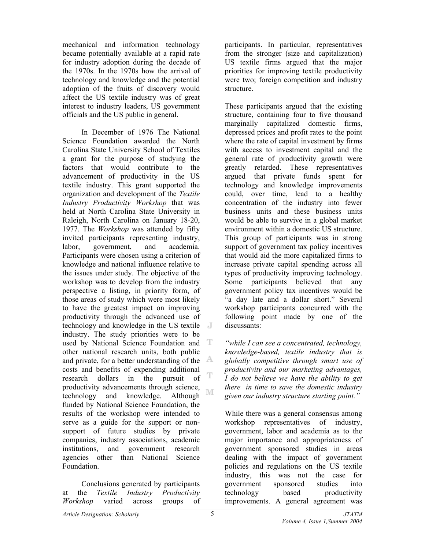mechanical and information technology became potentially available at a rapid rate for industry adoption during the decade of the 1970s. In the 1970s how the arrival of technology and knowledge and the potential adoption of the fruits of discovery would affect the US textile industry was of great interest to industry leaders, US government officials and the US public in general.

In December of 1976 The National Science Foundation awarded the North Carolina State University School of Textiles a grant for the purpose of studying the factors that would contribute to the advancement of productivity in the US textile industry. This grant supported the organization and development of the *Textile Industry Productivity Workshop* that was held at North Carolina State University in Raleigh, North Carolina on January 18-20, 1977. The *Workshop* was attended by fifty invited participants representing industry, labor, government, and academia. Participants were chosen using a criterion of knowledge and national influence relative to the issues under study. The objective of the workshop was to develop from the industry perspective a listing, in priority form, of those areas of study which were most likely to have the greatest impact on improving productivity through the advanced use of technology and knowledge in the US textile industry. The study priorities were to be used by National Science Foundation and T other national research units, both public and private, for a better understanding of the  $\mathbb{A}$ costs and benefits of expending additional<br>research dollars in the pursuit of  $\mathbb T$ research dollars in the productivity advancements through science, ΝE technology and knowledge. Although funded by National Science Foundation, the results of the workshop were intended to serve as a guide for the support or nonsupport of future studies by private companies, industry associations, academic institutions, and government research agencies other than National Science Foundation.

Conclusions generated by participants at the *Textile Industry Productivity Workshop* varied across groups of participants. In particular, representatives from the stronger (size and capitalization) US textile firms argued that the major priorities for improving textile productivity were two; foreign competition and industry structure.

These participants argued that the existing structure, containing four to five thousand marginally capitalized domestic firms, depressed prices and profit rates to the point where the rate of capital investment by firms with access to investment capital and the general rate of productivity growth were greatly retarded. These representatives argued that private funds spent for technology and knowledge improvements could, over time, lead to a healthy concentration of the industry into fewer business units and these business units would be able to survive in a global market environment within a domestic US structure. This group of participants was in strong support of government tax policy incentives that would aid the more capitalized firms to increase private capital spending across all types of productivity improving technology. Some participants believed that any government policy tax incentives would be "a day late and a dollar short." Several workshop participants concurred with the following point made by one of the discussants:

*"while I can see a concentrated, technology, knowledge-based, textile industry that is globally competitive through smart use of productivity and our marketing advantages, I do not believe we have the ability to get there in time to save the domestic industry given our industry structure starting point."* 

While there was a general consensus among workshop representatives of industry, government, labor and academia as to the major importance and appropriateness of government sponsored studies in areas dealing with the impact of government policies and regulations on the US textile industry, this was not the case for government sponsored studies into technology based productivity improvements. A general agreement was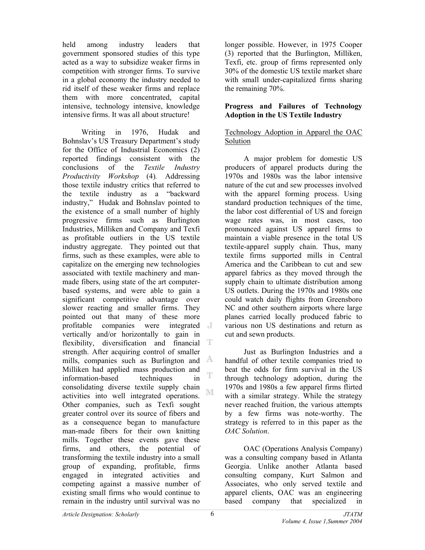held among industry leaders that government sponsored studies of this type acted as a way to subsidize weaker firms in competition with stronger firms. To survive in a global economy the industry needed to rid itself of these weaker firms and replace them with more concentrated, capital intensive, technology intensive, knowledge intensive firms. It was all about structure!

Writing in 1976, Hudak and Bohnslav's US Treasury Department's study for the Office of Industrial Economics (2) reported findings consistent with the conclusions of the *Textile Industry Productivity Workshop* (4)*.* Addressing those textile industry critics that referred to the textile industry as a "backward industry," Hudak and Bohnslav pointed to the existence of a small number of highly progressive firms such as Burlington Industries, Milliken and Company and Texfi as profitable outliers in the US textile industry aggregate. They pointed out that firms, such as these examples, were able to capitalize on the emerging new technologies associated with textile machinery and manmade fibers, using state of the art computerbased systems, and were able to gain a significant competitive advantage over slower reacting and smaller firms. They pointed out that many of these more profitable companies were integrated vertically and/or horizontally to gain in flexibility, diversification and financial  $\mathbb T$ strength. After acquiring control of smaller mills, companies such as Burlington and  $\mathbb{A}$ Milliken had applied mass production and T information-based techniques in consolidating diverse textile supply chain NI activities into well integrated operations. Other companies, such as Texfi sought greater control over its source of fibers and as a consequence began to manufacture man-made fibers for their own knitting mills. Together these events gave these firms, and others, the potential of transforming the textile industry into a small group of expanding, profitable, firms engaged in integrated activities and competing against a massive number of existing small firms who would continue to remain in the industry until survival was no

longer possible. However, in 1975 Cooper (3) reported that the Burlington, Milliken, Texfi, etc. group of firms represented only 30% of the domestic US textile market share with small under-capitalized firms sharing the remaining 70%.

#### **Progress and Failures of Technology Adoption in the US Textile Industry**

## Technology Adoption in Apparel the OAC Solution

A major problem for domestic US producers of apparel products during the 1970s and 1980s was the labor intensive nature of the cut and sew processes involved with the apparel forming process. Using standard production techniques of the time, the labor cost differential of US and foreign wage rates was, in most cases, too pronounced against US apparel firms to maintain a viable presence in the total US textile-apparel supply chain. Thus, many textile firms supported mills in Central America and the Caribbean to cut and sew apparel fabrics as they moved through the supply chain to ultimate distribution among US outlets. During the 1970s and 1980s one could watch daily flights from Greensboro NC and other southern airports where large planes carried locally produced fabric to various non US destinations and return as cut and sewn products.

Just as Burlington Industries and a handful of other textile companies tried to beat the odds for firm survival in the US through technology adoption, during the 1970s and 1980s a few apparel firms flirted with a similar strategy. While the strategy never reached fruition, the various attempts by a few firms was note-worthy. The strategy is referred to in this paper as the *OAC Solution*.

OAC (Operations Analysis Company) was a consulting company based in Atlanta Georgia. Unlike another Atlanta based consulting company, Kurt Salmon and Associates, who only served textile and apparel clients, OAC was an engineering based company that specialized in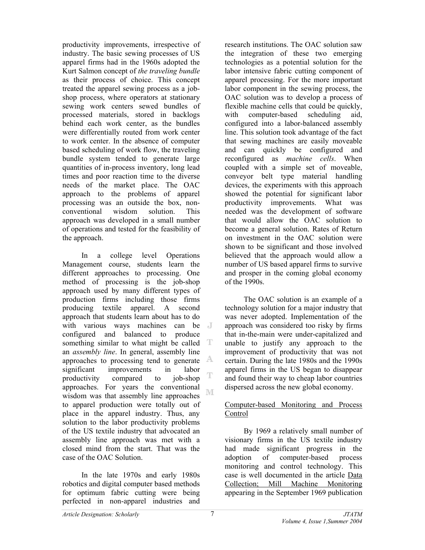productivity improvements, irrespective of industry. The basic sewing processes of US apparel firms had in the 1960s adopted the Kurt Salmon concept of *the traveling bundle* as their process of choice. This concept treated the apparel sewing process as a jobshop process, where operators at stationary sewing work centers sewed bundles of processed materials, stored in backlogs behind each work center, as the bundles were differentially routed from work center to work center. In the absence of computer based scheduling of work flow, the traveling bundle system tended to generate large quantities of in-process inventory, long lead times and poor reaction time to the diverse needs of the market place. The OAC approach to the problems of apparel processing was an outside the box, nonconventional wisdom solution. This approach was developed in a small number of operations and tested for the feasibility of the approach.

In a college level Operations Management course, students learn the different approaches to processing. One method of processing is the job-shop approach used by many different types of production firms including those firms producing textile apparel. A second approach that students learn about has to do with various ways machines can be configured and balanced to produce something similar to what might be called  $T$ an *assembly line*. In general, assembly line approaches to processing tend to generate  $\mathbb{A}$ significant improvements in labor T productivity compared to job-shop approaches. For years the conventional M wisdom was that assembly line approaches to apparel production were totally out of place in the apparel industry. Thus, any solution to the labor productivity problems of the US textile industry that advocated an assembly line approach was met with a closed mind from the start. That was the case of the OAC Solution.

In the late 1970s and early 1980s robotics and digital computer based methods for optimum fabric cutting were being perfected in non-apparel industries and

research institutions. The OAC solution saw the integration of these two emerging technologies as a potential solution for the labor intensive fabric cutting component of apparel processing. For the more important labor component in the sewing process, the OAC solution was to develop a process of flexible machine cells that could be quickly, with computer-based scheduling aid, configured into a labor-balanced assembly line. This solution took advantage of the fact that sewing machines are easily moveable and can quickly be configured and reconfigured as *machine cells*. When coupled with a simple set of moveable, conveyor belt type material handling devices, the experiments with this approach showed the potential for significant labor productivity improvements. What was needed was the development of software that would allow the OAC solution to become a general solution. Rates of Return on investment in the OAC solution were shown to be significant and those involved believed that the approach would allow a number of US based apparel firms to survive and prosper in the coming global economy of the 1990s.

The OAC solution is an example of a technology solution for a major industry that was never adopted. Implementation of the approach was considered too risky by firms that in-the-main were under-capitalized and unable to justify any approach to the improvement of productivity that was not certain. During the late 1980s and the 1990s apparel firms in the US began to disappear and found their way to cheap labor countries dispersed across the new global economy.

## Computer-based Monitoring and Process Control

By 1969 a relatively small number of visionary firms in the US textile industry had made significant progress in the adoption of computer-based process monitoring and control technology. This case is well documented in the article Data Collection; Mill Machine Monitoring appearing in the September 1969 publication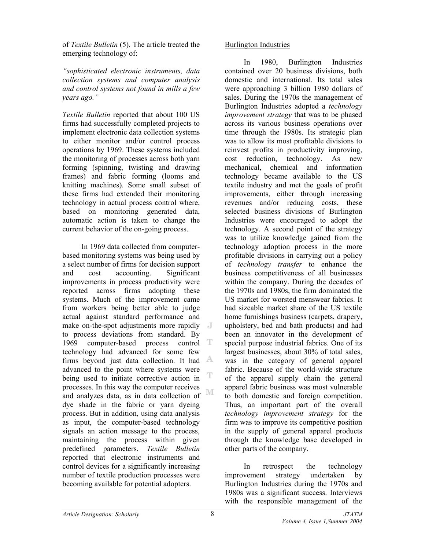of *Textile Bulletin* (5). The article treated the emerging technology of:

*"sophisticated electronic instruments, data collection systems and computer analysis and control systems not found in mills a few years ago."*

*Textile Bulletin* reported that about 100 US firms had successfully completed projects to implement electronic data collection systems to either monitor and/or control process operations by 1969. These systems included the monitoring of processes across both yarn forming (spinning, twisting and drawing frames) and fabric forming (looms and knitting machines). Some small subset of these firms had extended their monitoring technology in actual process control where, based on monitoring generated data, automatic action is taken to change the current behavior of the on-going process.

In 1969 data collected from computerbased monitoring systems was being used by a select number of firms for decision support and cost accounting. Significant improvements in process productivity were reported across firms adopting these systems. Much of the improvement came from workers being better able to judge actual against standard performance and make on-the-spot adjustments more rapidly to process deviations from standard. By 1969 computer-based process control T technology had advanced for some few firms beyond just data collection. It had advanced to the point where systems were Ē being used to initiate corrective action in processes. In this way the computer receives M and analyzes data, as in data collection of dye shade in the fabric or yarn dyeing process. But in addition, using data analysis as input, the computer-based technology signals an action message to the process, maintaining the process within given predefined parameters. *Textile Bulletin* reported that electronic instruments and control devices for a significantly increasing number of textile production processes were becoming available for potential adopters.

## Burlington Industries

In 1980, Burlington Industries contained over 20 business divisions, both domestic and international. Its total sales were approaching 3 billion 1980 dollars of sales. During the 1970s the management of Burlington Industries adopted a *technology improvement strategy* that was to be phased across its various business operations over time through the 1980s. Its strategic plan was to allow its most profitable divisions to reinvest profits in productivity improving, cost reduction, technology. As new mechanical, chemical and information technology became available to the US textile industry and met the goals of profit improvements, either through increasing revenues and/or reducing costs, these selected business divisions of Burlington Industries were encouraged to adopt the technology. A second point of the strategy was to utilize knowledge gained from the technology adoption process in the more profitable divisions in carrying out a policy of *technology transfer* to enhance the business competitiveness of all businesses within the company. During the decades of the 1970s and 1980s, the firm dominated the US market for worsted menswear fabrics. It had sizeable market share of the US textile home furnishings business (carpets, drapery, upholstery, bed and bath products) and had been an innovator in the development of special purpose industrial fabrics. One of its largest businesses, about 30% of total sales, was in the category of general apparel fabric. Because of the world-wide structure of the apparel supply chain the general apparel fabric business was most vulnerable to both domestic and foreign competition. Thus, an important part of the overall *technology improvement strategy* for the firm was to improve its competitive position in the supply of general apparel products through the knowledge base developed in other parts of the company.

In retrospect the technology improvement strategy undertaken by Burlington Industries during the 1970s and 1980s was a significant success. Interviews with the responsible management of the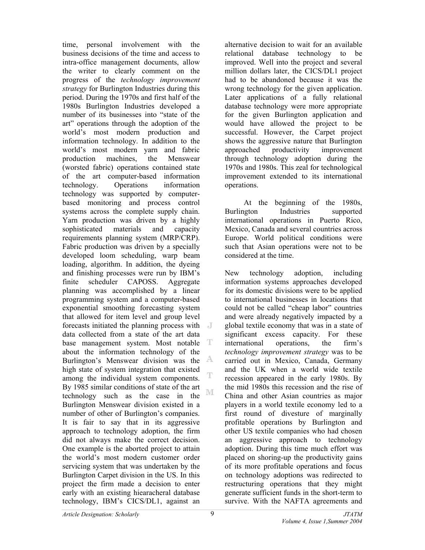time, personal involvement with the business decisions of the time and access to intra-office management documents, allow the writer to clearly comment on the progress of the *technology improvement strategy* for Burlington Industries during this period. During the 1970s and first half of the 1980s Burlington Industries developed a number of its businesses into "state of the art" operations through the adoption of the world's most modern production and information technology. In addition to the world's most modern yarn and fabric production machines, the Menswear (worsted fabric) operations contained state of the art computer-based information technology. Operations information technology was supported by computerbased monitoring and process control systems across the complete supply chain. Yarn production was driven by a highly sophisticated materials and capacity requirements planning system (MRP/CRP). Fabric production was driven by a specially developed loom scheduling, warp beam loading, algorithm. In addition, the dyeing and finishing processes were run by IBM's finite scheduler CAPOSS. Aggregate planning was accomplished by a linear programming system and a computer-based exponential smoothing forecasting system that allowed for item level and group level forecasts initiated the planning process with data collected from a state of the art data base management system. Most notable T about the information technology of the Burlington's Menswear division was the  $\mathbb{A}$ high state of system integration that existed Ē among the individual system components. By 1985 similar conditions of state of the art ΝE technology such as the case in the Burlington Menswear division existed in a number of other of Burlington's companies. It is fair to say that in its aggressive approach to technology adoption, the firm did not always make the correct decision. One example is the aborted project to attain the world's most modern customer order servicing system that was undertaken by the Burlington Carpet division in the US. In this project the firm made a decision to enter early with an existing hiearacheral database technology, IBM's CICS/DL1, against an

alternative decision to wait for an available relational database technology to be improved. Well into the project and several million dollars later, the CICS/DL1 project had to be abandoned because it was the wrong technology for the given application. Later applications of a fully relational database technology were more appropriate for the given Burlington application and would have allowed the project to be successful. However, the Carpet project shows the aggressive nature that Burlington approached productivity improvement through technology adoption during the 1970s and 1980s. This zeal for technological improvement extended to its international operations.

At the beginning of the 1980s, Burlington Industries supported international operations in Puerto Rico, Mexico, Canada and several countries across Europe. World political conditions were such that Asian operations were not to be considered at the time.

New technology adoption, including information systems approaches developed for its domestic divisions were to be applied to international businesses in locations that could not be called "cheap labor" countries and were already negatively impacted by a global textile economy that was in a state of significant excess capacity. For these international operations, the firm's *technology improvement strategy* was to be carried out in Mexico, Canada, Germany and the UK when a world wide textile recession appeared in the early 1980s. By the mid 1980s this recession and the rise of China and other Asian countries as major players in a world textile economy led to a first round of divesture of marginally profitable operations by Burlington and other US textile companies who had chosen an aggressive approach to technology adoption. During this time much effort was placed on shoring-up the productivity gains of its more profitable operations and focus on technology adoptions was redirected to restructuring operations that they might generate sufficient funds in the short-term to survive. With the NAFTA agreements and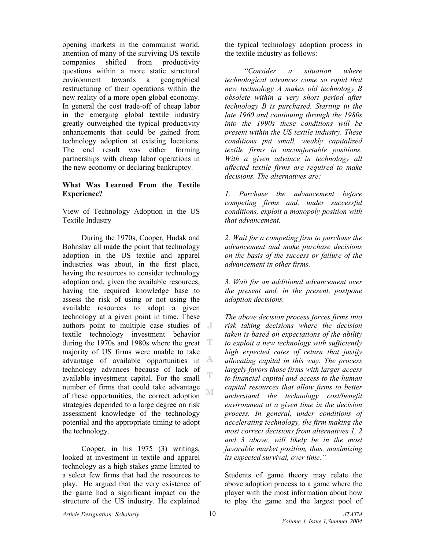opening markets in the communist world, attention of many of the surviving US textile companies shifted from productivity questions within a more static structural environment towards a geographical restructuring of their operations within the new reality of a more open global economy. In general the cost trade-off of cheap labor in the emerging global textile industry greatly outweighed the typical productivity enhancements that could be gained from technology adoption at existing locations. The end result was either forming partnerships with cheap labor operations in the new economy or declaring bankruptcy.

#### **What Was Learned From the Textile Experience?**

### View of Technology Adoption in the US Textile Industry

During the 1970s, Cooper, Hudak and Bohnslav all made the point that technology adoption in the US textile and apparel industries was about, in the first place, having the resources to consider technology adoption and, given the available resources, having the required knowledge base to assess the risk of using or not using the available resources to adopt a given technology at a given point in time. These authors point to multiple case studies of textile technology investment behavior during the 1970s and 1980s where the great T majority of US firms were unable to take advantage of available opportunities in  $\mathbb{A}$ technology advances because of lack of T available investment capital. For the small number of firms that could take advantage M of these opportunities, the correct adoption strategies depended to a large degree on risk assessment knowledge of the technology potential and the appropriate timing to adopt the technology.

Cooper, in his 1975 (3) writings, looked at investment in textile and apparel technology as a high stakes game limited to a select few firms that had the resources to play. He argued that the very existence of the game had a significant impact on the structure of the US industry. He explained

the typical technology adoption process in the textile industry as follows:

*"Consider a situation where technological advances come so rapid that new technology A makes old technology B obsolete within a very short period after technology B is purchased. Starting in the late 1960 and continuing through the 1980s into the 1990s these conditions will be present within the US textile industry. These conditions put small, weakly capitalized textile firms in uncomfortable positions. With a given advance in technology all affected textile firms are required to make decisions. The alternatives are:* 

*1. Purchase the advancement before competing firms and, under successful conditions, exploit a monopoly position with that advancement.* 

*2. Wait for a competing firm to purchase the advancement and make purchase decisions on the basis of the success or failure of the advancement in other firms.* 

*3. Wait for an additional advancement over the present and, in the present, postpone adoption decisions.* 

*The above decision process forces firms into risk taking decisions where the decision taken is based on expectations of the ability to exploit a new technology with sufficiently high expected rates of return that justify allocating capital in this way. The process largely favors those firms with larger access to financial capital and access to the human capital resources that allow firms to better understand the technology cost/benefit environment at a given time in the decision process. In general, under conditions of accelerating technology, the firm making the most correct decisions from alternatives 1, 2 and 3 above, will likely be in the most favorable market position, thus, maximizing its expected survival, over time."* 

Students of game theory may relate the above adoption process to a game where the player with the most information about how to play the game and the largest pool of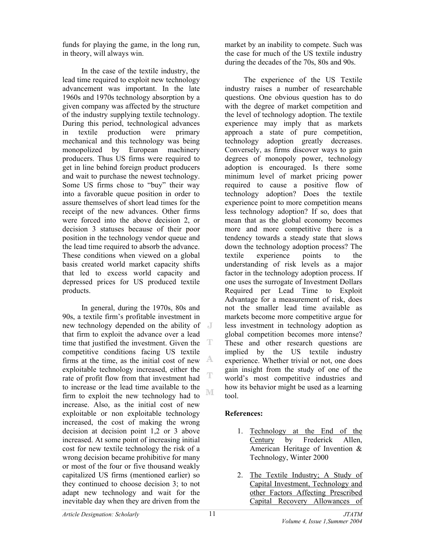funds for playing the game, in the long run, in theory, will always win.

In the case of the textile industry, the lead time required to exploit new technology advancement was important. In the late 1960s and 1970s technology absorption by a given company was affected by the structure of the industry supplying textile technology. During this period, technological advances in textile production were primary mechanical and this technology was being monopolized by European machinery producers. Thus US firms were required to get in line behind foreign product producers and wait to purchase the newest technology. Some US firms chose to "buy" their way into a favorable queue position in order to assure themselves of short lead times for the receipt of the new advances. Other firms were forced into the above decision 2, or decision 3 statuses because of their poor position in the technology vendor queue and the lead time required to absorb the advance. These conditions when viewed on a global basis created world market capacity shifts that led to excess world capacity and depressed prices for US produced textile products.

In general, during the 1970s, 80s and 90s, a textile firm's profitable investment in new technology depended on the ability of that firm to exploit the advance over a lead time that justified the investment. Given the т competitive conditions facing US textile firms at the time, as the initial cost of new A exploitable technology increased, either the rate of profit flow from that investment had to increase or the lead time available to the NΓ firm to exploit the new technology had to increase. Also, as the initial cost of new exploitable or non exploitable technology increased, the cost of making the wrong decision at decision point 1,2 or 3 above increased. At some point of increasing initial cost for new textile technology the risk of a wrong decision became prohibitive for many or most of the four or five thousand weakly capitalized US firms (mentioned earlier) so they continued to choose decision 3; to not adapt new technology and wait for the inevitable day when they are driven from the

market by an inability to compete. Such was the case for much of the US textile industry during the decades of the 70s, 80s and 90s.

The experience of the US Textile industry raises a number of researchable questions. One obvious question has to do with the degree of market competition and the level of technology adoption. The textile experience may imply that as markets approach a state of pure competition, technology adoption greatly decreases. Conversely, as firms discover ways to gain degrees of monopoly power, technology adoption is encouraged. Is there some minimum level of market pricing power required to cause a positive flow of technology adoption? Does the textile experience point to more competition means less technology adoption? If so, does that mean that as the global economy becomes more and more competitive there is a tendency towards a steady state that slows down the technology adoption process? The textile experience points to the understanding of risk levels as a major factor in the technology adoption process. If one uses the surrogate of Investment Dollars Required per Lead Time to Exploit Advantage for a measurement of risk, does not the smaller lead time available as markets become more competitive argue for less investment in technology adoption as global competition becomes more intense? These and other research questions are implied by the US textile industry experience. Whether trivial or not, one does gain insight from the study of one of the world's most competitive industries and how its behavior might be used as a learning tool.

# **References:**

- 1. Technology at the End of the Century by Frederick Allen, American Heritage of Invention & Technology, Winter 2000
- 2. The Textile Industry; A Study of Capital Investment, Technology and other Factors Affecting Prescribed Capital Recovery Allowances of

T